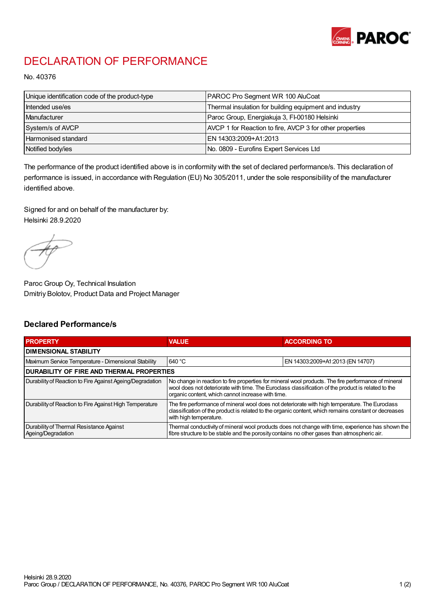

## DECLARATION OF PERFORMANCE

No. 40376

| Unique identification code of the product-type | <b>PAROC Pro Segment WR 100 AluCoat</b>                  |
|------------------------------------------------|----------------------------------------------------------|
| Intended use/es                                | Thermal insulation for building equipment and industry   |
| Manufacturer                                   | Paroc Group, Energiakuja 3, FI-00180 Helsinki            |
| System/s of AVCP                               | AVCP 1 for Reaction to fire, AVCP 3 for other properties |
| Harmonised standard                            | IEN 14303:2009+A1:2013                                   |
| Notified body/ies                              | No. 0809 - Eurofins Expert Services Ltd                  |

The performance of the product identified above is in conformity with the set of declared performance/s. This declaration of performance is issued, in accordance with Regulation (EU) No 305/2011, under the sole responsibility of the manufacturer identified above.

Signed for and on behalf of the manufacturer by: Helsinki 28.9.2020

Paroc Group Oy, Technical Insulation Dmitriy Bolotov, Product Data and Project Manager

## Declared Performance/s

| <b>PROPERTY</b>                                                | <b>VALUE</b>                                                                                                                                                                                                                                                   | <b>ACCORDING TO</b>              |  |
|----------------------------------------------------------------|----------------------------------------------------------------------------------------------------------------------------------------------------------------------------------------------------------------------------------------------------------------|----------------------------------|--|
| <b>DIMENSIONAL STABILITY</b>                                   |                                                                                                                                                                                                                                                                |                                  |  |
| Maximum Service Temperature - Dimensional Stability            | 640 °C                                                                                                                                                                                                                                                         | EN 14303:2009+A1:2013 (EN 14707) |  |
| <b>DURABILITY OF FIRE AND THERMAL PROPERTIES</b>               |                                                                                                                                                                                                                                                                |                                  |  |
| Durability of Reaction to Fire Against Ageing/Degradation      | No change in reaction to fire properties for mineral wool products. The fire performance of mineral<br>wool does not deteriorate with time. The Euroclass classification of the product is related to the<br>organic content, which cannot increase with time. |                                  |  |
| Durability of Reaction to Fire Against High Temperature        | The fire performance of mineral wool does not deteriorate with high temperature. The Euroclass<br>classification of the product is related to the organic content, which remains constant or decreases<br>with high temperature.                               |                                  |  |
| Durability of Thermal Resistance Against<br>Ageing/Degradation | Thermal conductivity of mineral wool products does not change with time, experience has shown the<br>fibre structure to be stable and the porosity contains no other gases than atmospheric air.                                                               |                                  |  |